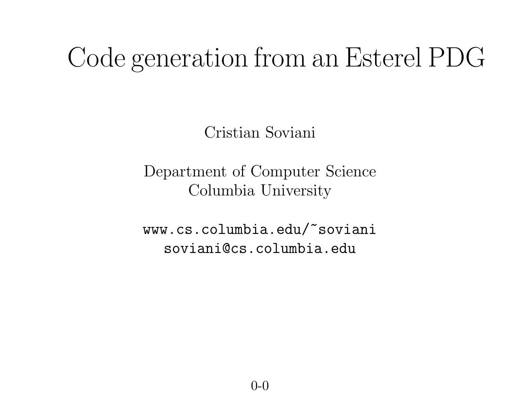#### Code generation from an Esterel PDG

Cristian Soviani

Department of Computer Science Columbia University

www.cs.columbia.edu/~soviani soviani@cs.columbia.edu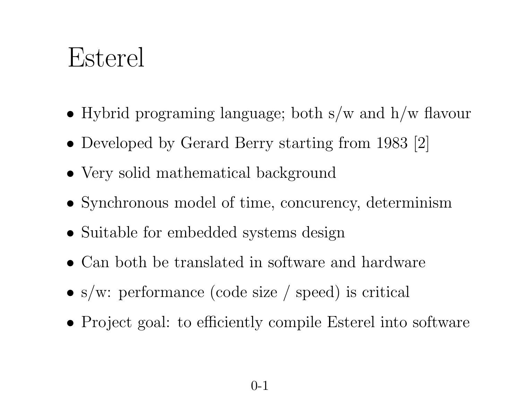#### Esterel

- Hybrid programing language; both s/w and h/w flavour
- Developed by Gerard Berry starting from 1983 [2]
- Very solid mathematical background
- Synchronous model of time, concurency, determinism
- Suitable for embedded systems design
- Can both be translated in software and hardware
- s/w: performance (code size / speed) is critical
- Project goal: to efficiently compile Esterel into software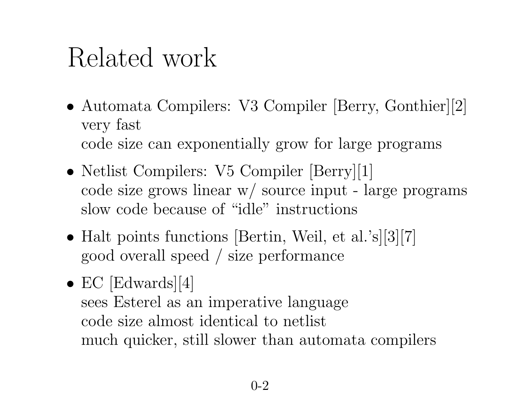## Related work

- Automata Compilers: V3 Compiler [Berry, Gonthier][2] very fast code size can exponentially grow for large programs
- Netlist Compilers: V5 Compiler [Berry][1] code size grows linear w/ source input - large programs slow code because of "idle" instructions
- Halt points functions [Bertin, Weil, et al.'s][3][7] good overall speed / size performance
- EC [Edwards][4] sees Esterel as an imperative language code size almost identical to netlist much quicker, still slower than automata compilers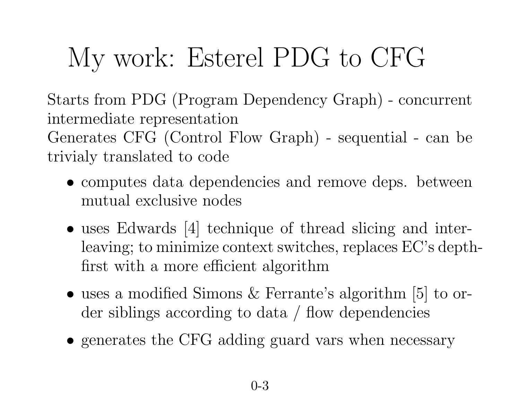# My work: Esterel PDG to CFG

Starts from PDG (Program Dependency Graph) - concurrent intermediate representation Generates CFG (Control Flow Graph) - sequential - can be trivialy translated to code

- computes data dependencies and remove deps. between mutual exclusive nodes
- uses Edwards [4] technique of thread slicing and interleaving; to minimize context switches, replaces EC's depthfirst with <sup>a</sup> more efficient algorithm
- uses a modified Simons & Ferrante's algorithm [5] to order siblings according to data / flow dependencies
- generates the CFG adding guard vars when necessary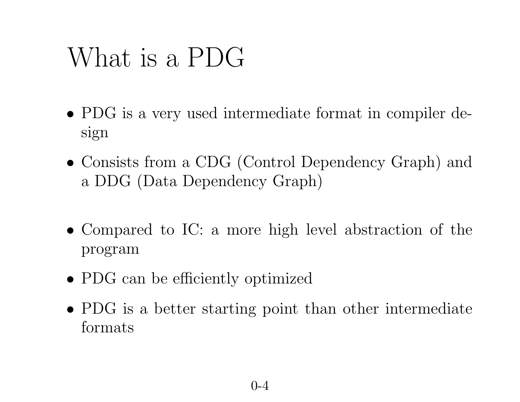### What is <sup>a</sup> PDG

- PDG is <sup>a</sup> very used intermediate format in compiler design
- Consists from <sup>a</sup> CDG (Control Dependency Graph) and <sup>a</sup> DDG (Data Dependency Graph)
- Compared to IC: <sup>a</sup> more high level abstraction of the program
- PDG can be efficiently optimized
- PDG is <sup>a</sup> better starting point than other intermediate formats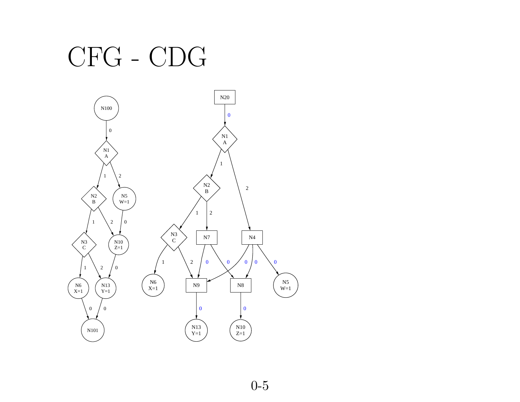#### CFG - CDG

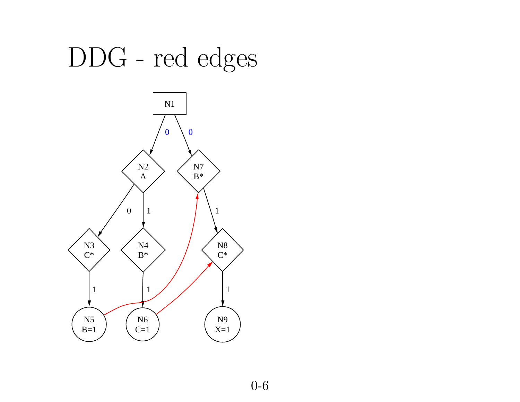## DDG - red edges

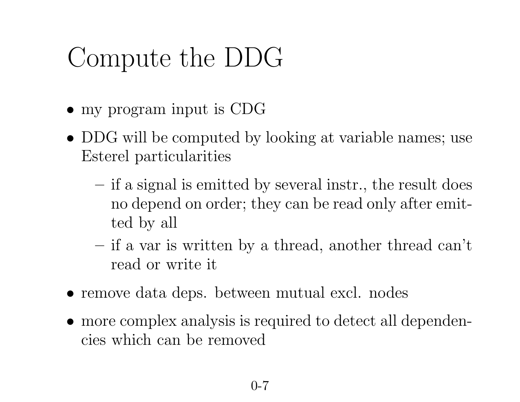## Compute the DDG

- my program input is CDG
- DDG will be computed by looking at variable names; use Esterel particularities
	- if <sup>a</sup> signal is emitted by several instr., the result does no depend on order; they can be read only after emitted by all
	- if <sup>a</sup> var is written by <sup>a</sup> thread, another thread can't read or write it
- remove data deps. between mutual excl. nodes
- more complex analysis is required to detect all dependencies which can be removed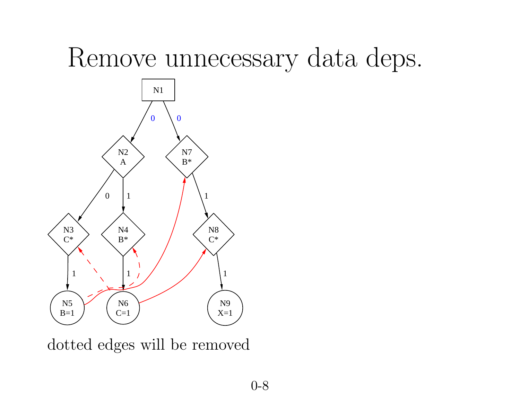#### Remove unnecessary data deps.



dotted edges will be removed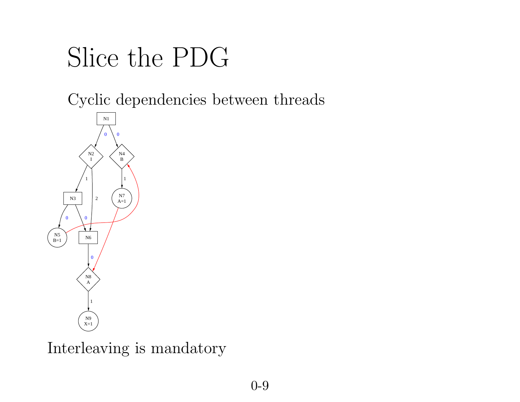## Slice the PDG

Cyclic dependencies between threads



Interleaving is mandatory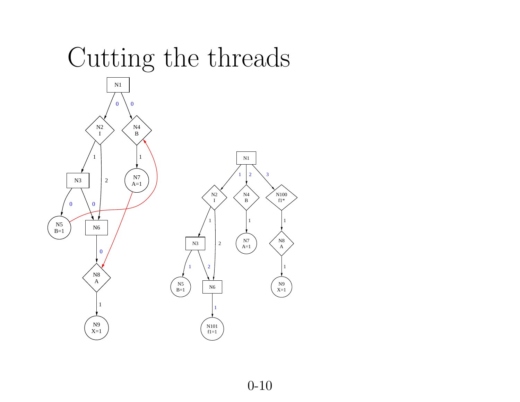# Cutting the threads

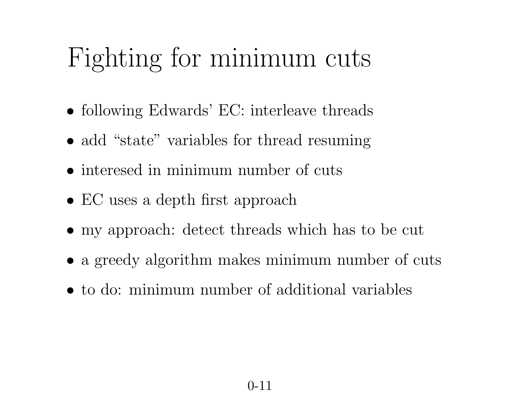#### Fighting for minimum cuts

- following Edwards' EC: interleave threads
- add "state" variables for thread resuming
- interesed in minimum number of cuts
- EC uses a depth first approach
- my approach: detect threads which has to be cut
- a greedy algorithm makes minimum number of cuts
- to do: minimum number of additional variables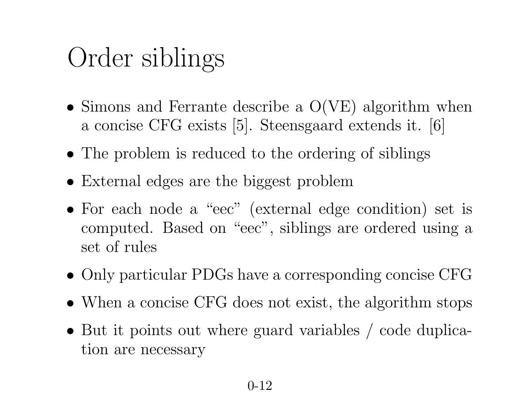## Order siblings

- Simons and Ferrante describe <sup>a</sup> O(VE) algorithm when <sup>a</sup> concise CFG exists [5]. Steensgaard extends it. [6]
- The problem is reduced to the ordering of siblings
- External edges are the biggest problem
- For each node <sup>a</sup> "eec" (external edge condition) set is computed. Based on "eec", siblings are ordered using <sup>a</sup> set of rules
- Only particular PDGs have <sup>a</sup> corresponding concise CFG
- When a concise CFG does not exist, the algorithm stops
- But it points out where guard variables / code duplication are necessary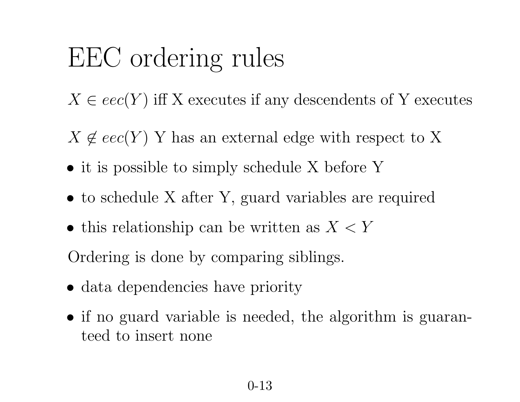### EEC ordering rules

- $X \in \text{eec}(Y)$  iff X executes if any descendents of Y executes
- $X \notin eec(Y)$  Y has an external edge with respect to X
- it is possible to simply schedule X before Y
- to schedule X after Y, guard variables are required
- this relationship can be written as  $X < Y$

Ordering is done by comparing siblings.

- data dependencies have priority
- if no guard variable is needed, the algorithm is guaranteed to insert none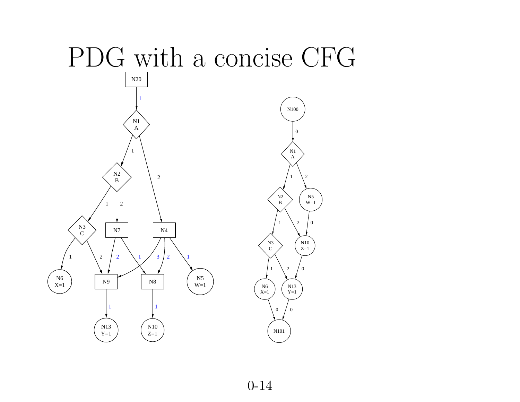

0-14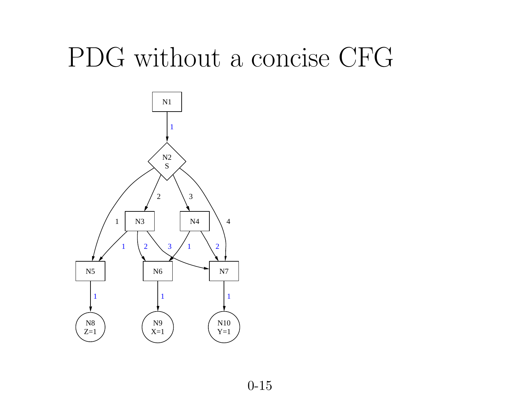## PDG without <sup>a</sup> concise CFG

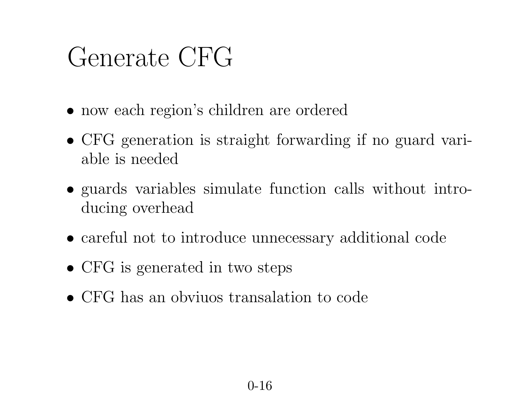#### Generate CFG

- now each region's children are ordered
- CFG generation is straight forwarding if no guard variable is needed
- guards variables simulate function calls without introducing overhead
- careful not to introduce unnecessary additional code
- CFG is generated in two steps
- CFG has an obviuos transalation to code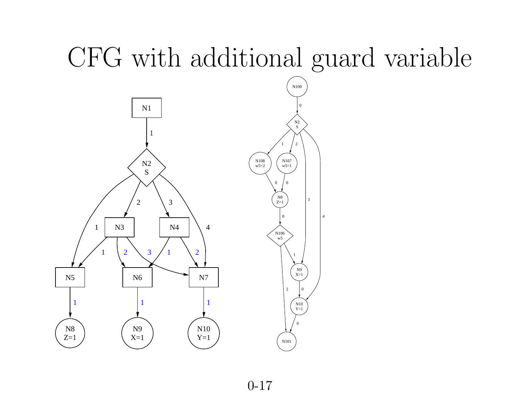## CFG with additional guard variable

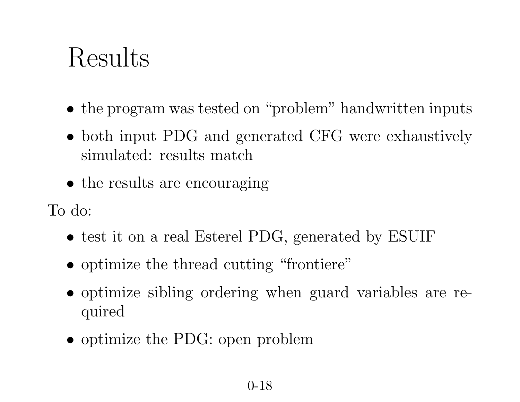### Results

- the program was tested on "problem" handwritten inputs
- both input PDG and generated CFG were exhaustively simulated: results match
- the results are encouraging

To do:

- test it on a real Esterel PDG, generated by ESUIF
- optimize the thread cutting "frontiere"
- optimize sibling ordering when guard variables are required
- optimize the PDG: open problem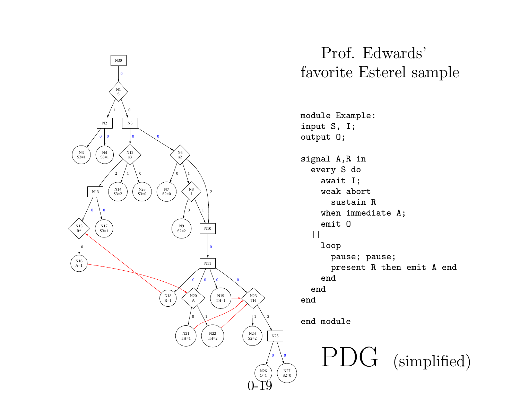

#### Prof. Edwards' favorite Esterel sample

module Example: signal A,R in every S do await I; weak abort sustain R when immediate A; pause; pause; presen<sup>t</sup> R then emit A end PDG (simplified)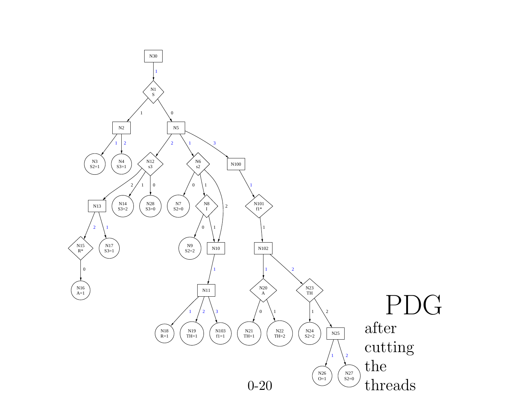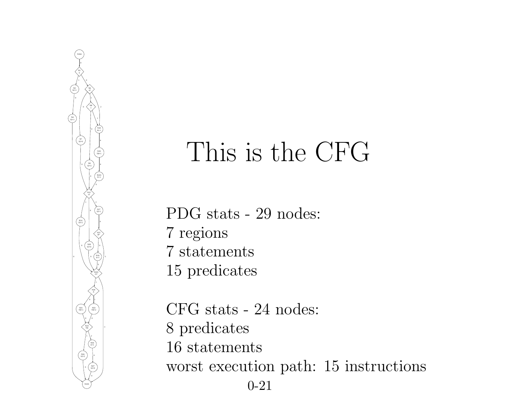

#### This is the CFG

PDG stats - 29 nodes: 7 regions 7 statements 15 predicates

CFG stats - 24 nodes: 8 predicates 16 statements worst execution path: 15 instructions 0-21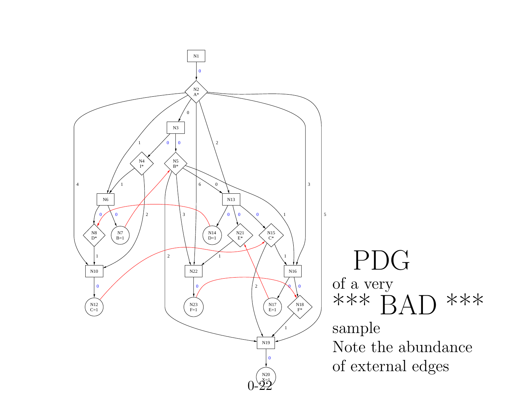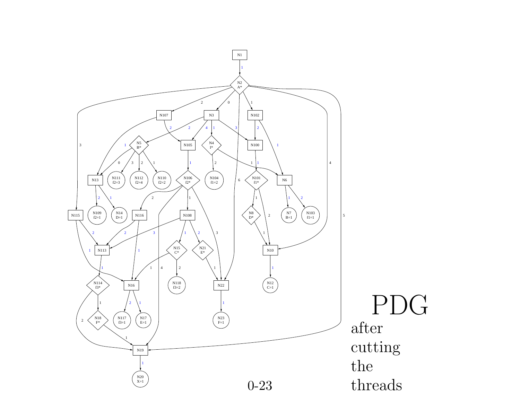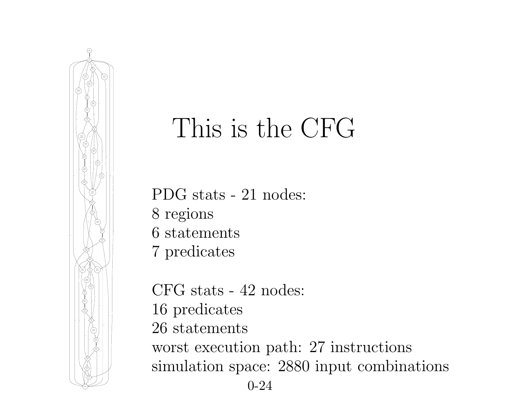

#### This is the CFG

PDG stats - 21 nodes:

- 8 regions
- 6 statements
- 7 predicates

CFG stats - 42 nodes: 16 predicates 26 statements worst execution path: 27 instructions simulation space: 2880 input combinations 0-24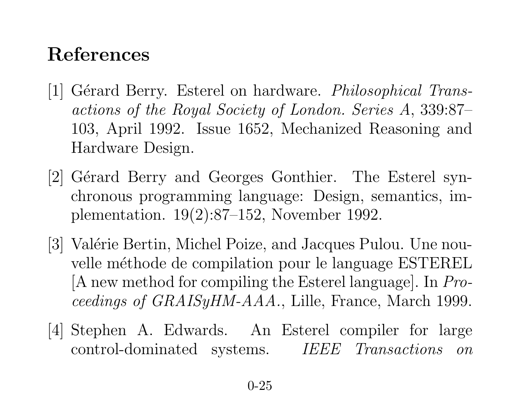#### References

- $|1|$  Gérard Berry. Esterel on hardware. *Philosophical Trans*actions of the Royal Society of London. Series A, 339:87– 103, April 1992. Issue 1652, Mechanized Reasoning and Hardware Design.
- [2] Gérard Berry and Georges Gonthier. The Esterel synchronous programming language: Design, semantics, im<sup>p</sup>lementation. 19(2):87–152, November 1992.
- [3] Valérie Bertin, Michel Poize, and Jacques Pulou. Une nouvelle méthode de compilation pour le language ESTEREL [A new method for compiling the Esterel language]. In Proceedings of GRAISyHM-AAA., Lille, France, March 1999.
- [4] Stephen A. Edwards. An Esterel compiler for large control-dominated systems. IEEE Transactions on